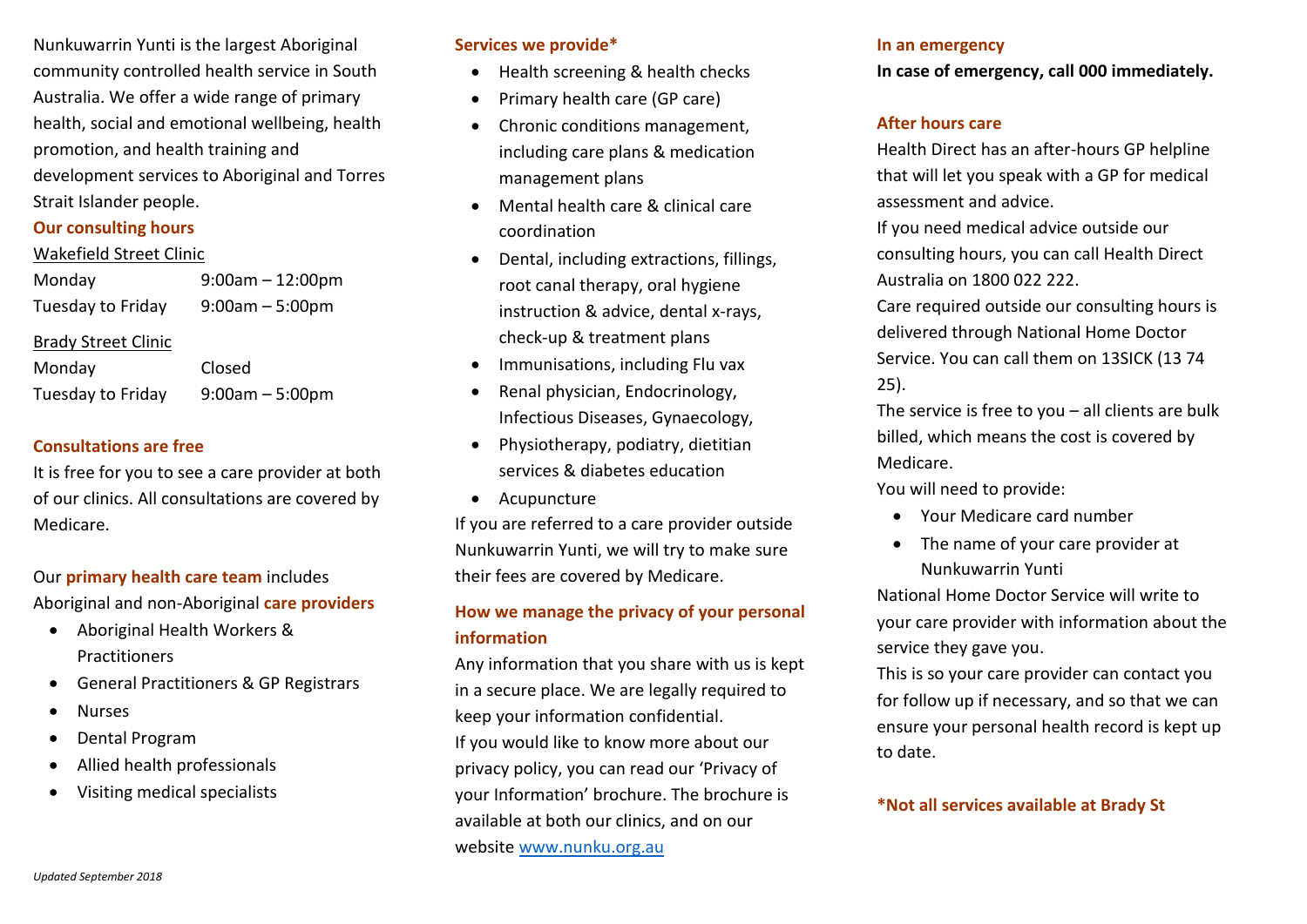Nunkuwarrin Yunti is the largest Aboriginal community controlled health service in South Australia. We offer a wide range of primary health, social and emotional wellbeing, health promotion, and health training and development services to Aboriginal and Torres Strait Islander people.

#### **Our consulting hours**

#### Wakefield Street Clinic

Monday 9:00am – 12:00pm Tuesday to Friday 9:00am – 5:00pm Brady Street Clinic Monday Closed

Tuesday to Friday 9:00am – 5:00pm

# **Consultations are free**

It is free for you to see a care provider at both of our clinics. All consultations are covered by Medicare.

Our **primary health care team** includes Aboriginal and non-Aboriginal **care providers**

- Aboriginal Health Workers & Practitioners
- General Practitioners & GP Registrars
- Nurses
- Dental Program
- Allied health professionals
- Visiting medical specialists

## **Services we provide\***

- Health screening & health checks
- Primary health care (GP care)
- Chronic conditions management, including care plans & medication management plans
- Mental health care & clinical care coordination
- Dental, including extractions, fillings, root canal therapy, oral hygiene instruction & advice, dental x-rays, check-up & treatment plans
- Immunisations, including Flu vax
- Renal physician, Endocrinology, Infectious Diseases, Gynaecology,
- Physiotherapy, podiatry, dietitian services & diabetes education
- Acupuncture

If you are referred to a care provider outside Nunkuwarrin Yunti, we will try to make sure their fees are covered by Medicare.

# **How we manage the privacy of your personal information**

Any information that you share with us is kept in a secure place. We are legally required to keep your information confidential. If you would like to know more about our privacy policy, you can read our 'Privacy of your Information' brochure. The brochure is available at both our clinics, and on our website [www.nunku.org.au](http://www.nunku.org.au/)

#### **In an emergency**

**In case of emergency, call 000 immediately.** 

## **After hours care**

Health Direct has an after-hours GP helpline that will let you speak with a GP for medical assessment and advice.

If you need medical advice outside our consulting hours, you can call Health Direct Australia on 1800 022 222.

Care required outside our consulting hours is delivered through National Home Doctor Service. You can call them on 13SICK (13 74 25).

The service is free to you – all clients are bulk billed, which means the cost is covered by Medicare.

You will need to provide:

- Your Medicare card number
- The name of your care provider at Nunkuwarrin Yunti

National Home Doctor Service will write to your care provider with information about the service they gave you.

This is so your care provider can contact you for follow up if necessary, and so that we can ensure your personal health record is kept up to date.

# **\*Not all services available at Brady St**